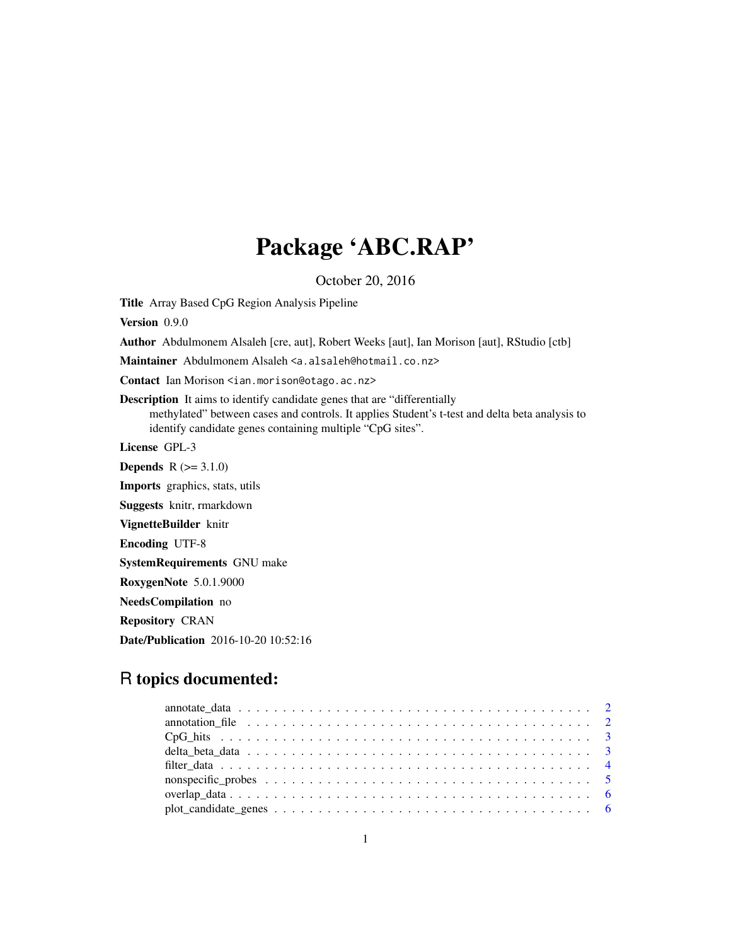# Package 'ABC.RAP'

October 20, 2016

Title Array Based CpG Region Analysis Pipeline

Version 0.9.0

Author Abdulmonem Alsaleh [cre, aut], Robert Weeks [aut], Ian Morison [aut], RStudio [ctb]

Maintainer Abdulmonem Alsaleh <a.alsaleh@hotmail.co.nz>

Contact Ian Morison <ian.morison@otago.ac.nz>

Description It aims to identify candidate genes that are "differentially methylated" between cases and controls. It applies Student's t-test and delta beta analysis to identify candidate genes containing multiple "CpG sites".

License GPL-3

**Depends**  $R (= 3.1.0)$ Imports graphics, stats, utils Suggests knitr, rmarkdown VignetteBuilder knitr Encoding UTF-8 SystemRequirements GNU make RoxygenNote 5.0.1.9000 NeedsCompilation no Repository CRAN Date/Publication 2016-10-20 10:52:16

# R topics documented:

| $plot\_candidate\_genes \ldots \ldots \ldots \ldots \ldots \ldots \ldots \ldots \ldots \ldots \ldots \ldots$ |  |
|--------------------------------------------------------------------------------------------------------------|--|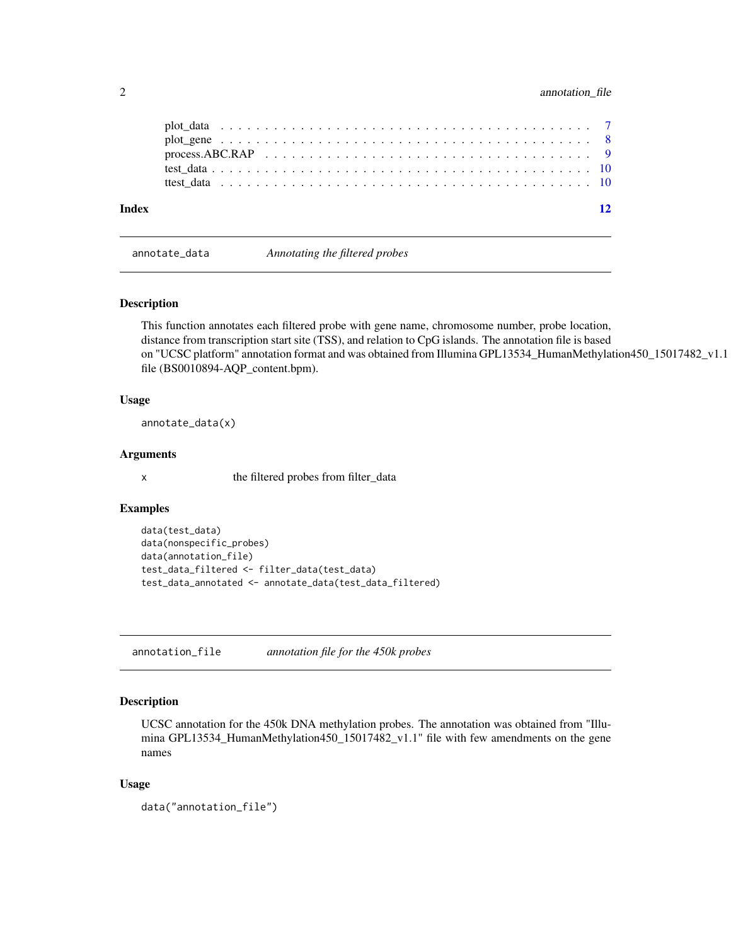# <span id="page-1-0"></span>2 annotation\_file

| Index |                                                                                                               |  |  |  |  |  |  |  |  |  |  |  |  |  |  |  |  | $\overline{12}$ |
|-------|---------------------------------------------------------------------------------------------------------------|--|--|--|--|--|--|--|--|--|--|--|--|--|--|--|--|-----------------|
|       |                                                                                                               |  |  |  |  |  |  |  |  |  |  |  |  |  |  |  |  |                 |
|       |                                                                                                               |  |  |  |  |  |  |  |  |  |  |  |  |  |  |  |  |                 |
|       | process. ABC.RAP $\ldots \ldots \ldots \ldots \ldots \ldots \ldots \ldots \ldots \ldots \ldots \ldots \ldots$ |  |  |  |  |  |  |  |  |  |  |  |  |  |  |  |  |                 |
|       |                                                                                                               |  |  |  |  |  |  |  |  |  |  |  |  |  |  |  |  |                 |
|       |                                                                                                               |  |  |  |  |  |  |  |  |  |  |  |  |  |  |  |  |                 |

annotate\_data *Annotating the filtered probes*

# Description

This function annotates each filtered probe with gene name, chromosome number, probe location, distance from transcription start site (TSS), and relation to CpG islands. The annotation file is based on "UCSC platform" annotation format and was obtained from Illumina GPL13534\_HumanMethylation450\_15017482\_v1.1 file (BS0010894-AQP\_content.bpm).

# Usage

annotate\_data(x)

# Arguments

x the filtered probes from filter\_data

#### Examples

```
data(test_data)
data(nonspecific_probes)
data(annotation_file)
test_data_filtered <- filter_data(test_data)
test_data_annotated <- annotate_data(test_data_filtered)
```
annotation\_file *annotation file for the 450k probes*

# Description

UCSC annotation for the 450k DNA methylation probes. The annotation was obtained from "Illumina GPL13534\_HumanMethylation450\_15017482\_v1.1" file with few amendments on the gene names

#### Usage

```
data("annotation_file")
```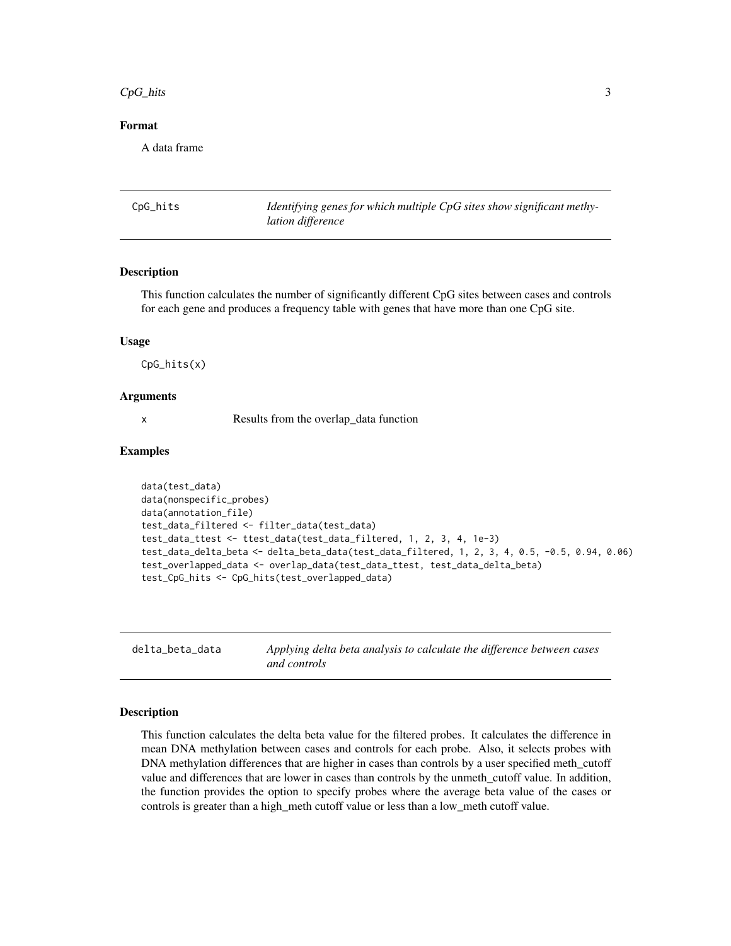#### <span id="page-2-0"></span> $CpG_{\text{th}}$  and  $\frac{3}{2}$

# Format

A data frame

| CpG_hits | Identifying genes for which multiple CpG sites show significant methy- |
|----------|------------------------------------------------------------------------|
|          | <i>lation difference</i>                                               |

#### Description

This function calculates the number of significantly different CpG sites between cases and controls for each gene and produces a frequency table with genes that have more than one CpG site.

# Usage

CpG\_hits(x)

#### Arguments

x Results from the overlap\_data function

# Examples

```
data(test_data)
data(nonspecific_probes)
data(annotation_file)
test_data_filtered <- filter_data(test_data)
test_data_ttest <- ttest_data(test_data_filtered, 1, 2, 3, 4, 1e-3)
test_data_delta_beta <- delta_beta_data(test_data_filtered, 1, 2, 3, 4, 0.5, -0.5, 0.94, 0.06)
test_overlapped_data <- overlap_data(test_data_ttest, test_data_delta_beta)
test_CpG_hits <- CpG_hits(test_overlapped_data)
```

|  |  |  | delta_beta_data |  |  |
|--|--|--|-----------------|--|--|
|--|--|--|-----------------|--|--|

delta\_beta\_data *Applying delta beta analysis to calculate the difference between cases and controls*

#### **Description**

This function calculates the delta beta value for the filtered probes. It calculates the difference in mean DNA methylation between cases and controls for each probe. Also, it selects probes with DNA methylation differences that are higher in cases than controls by a user specified meth\_cutoff value and differences that are lower in cases than controls by the unmeth\_cutoff value. In addition, the function provides the option to specify probes where the average beta value of the cases or controls is greater than a high\_meth cutoff value or less than a low\_meth cutoff value.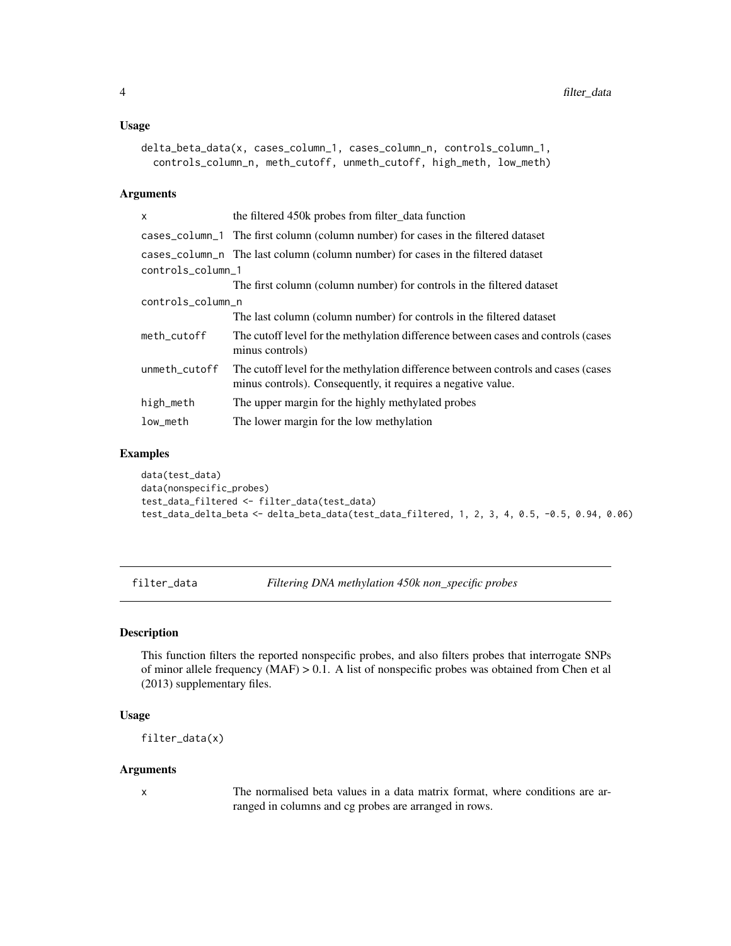#### <span id="page-3-0"></span>Usage

```
delta_beta_data(x, cases_column_1, cases_column_n, controls_column_1,
 controls_column_n, meth_cutoff, unmeth_cutoff, high_meth, low_meth)
```
# Arguments

| $\mathsf{x}$      | the filtered 450k probes from filter_data function                                                                                                 |  |  |  |  |  |
|-------------------|----------------------------------------------------------------------------------------------------------------------------------------------------|--|--|--|--|--|
|                   | cases_column_1 The first column (column number) for cases in the filtered dataset                                                                  |  |  |  |  |  |
|                   | cases_column_n The last column (column number) for cases in the filtered dataset                                                                   |  |  |  |  |  |
| controls_column_1 |                                                                                                                                                    |  |  |  |  |  |
|                   | The first column (column number) for controls in the filtered dataset                                                                              |  |  |  |  |  |
|                   | controls_column_n                                                                                                                                  |  |  |  |  |  |
|                   | The last column (column number) for controls in the filtered dataset                                                                               |  |  |  |  |  |
| meth_cutoff       | The cutoff level for the methylation difference between cases and controls (cases<br>minus controls)                                               |  |  |  |  |  |
| unmeth_cutoff     | The cutoff level for the methylation difference between controls and cases (cases)<br>minus controls). Consequently, it requires a negative value. |  |  |  |  |  |
| high_meth         | The upper margin for the highly methylated probes                                                                                                  |  |  |  |  |  |
| low_meth          | The lower margin for the low methylation                                                                                                           |  |  |  |  |  |

# Examples

```
data(test_data)
data(nonspecific_probes)
test_data_filtered <- filter_data(test_data)
test_data_delta_beta <- delta_beta_data(test_data_filtered, 1, 2, 3, 4, 0.5, -0.5, 0.94, 0.06)
```
filter\_data *Filtering DNA methylation 450k non\_specific probes*

#### Description

This function filters the reported nonspecific probes, and also filters probes that interrogate SNPs of minor allele frequency (MAF) > 0.1. A list of nonspecific probes was obtained from Chen et al (2013) supplementary files.

# Usage

filter\_data(x)

# Arguments

x The normalised beta values in a data matrix format, where conditions are arranged in columns and cg probes are arranged in rows.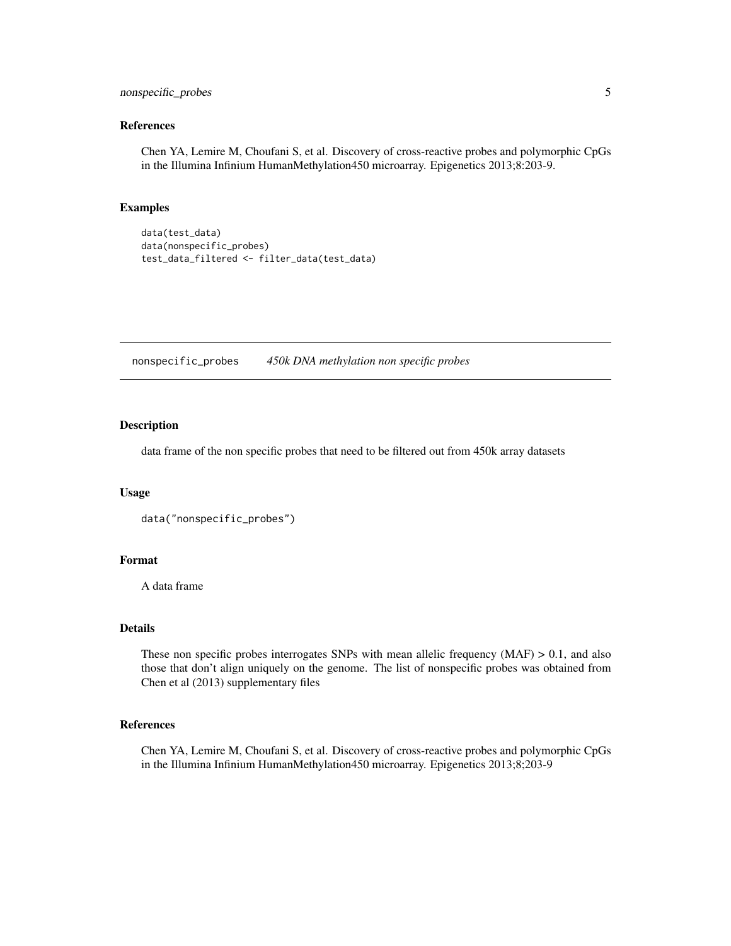# <span id="page-4-0"></span>nonspecific\_probes 5

# References

Chen YA, Lemire M, Choufani S, et al. Discovery of cross-reactive probes and polymorphic CpGs in the Illumina Infinium HumanMethylation450 microarray. Epigenetics 2013;8:203-9.

# Examples

```
data(test_data)
data(nonspecific_probes)
test_data_filtered <- filter_data(test_data)
```
nonspecific\_probes *450k DNA methylation non specific probes*

# Description

data frame of the non specific probes that need to be filtered out from 450k array datasets

# Usage

```
data("nonspecific_probes")
```
# Format

A data frame

# Details

These non specific probes interrogates SNPs with mean allelic frequency  $(MAF) > 0.1$ , and also those that don't align uniquely on the genome. The list of nonspecific probes was obtained from Chen et al (2013) supplementary files

#### References

Chen YA, Lemire M, Choufani S, et al. Discovery of cross-reactive probes and polymorphic CpGs in the Illumina Infinium HumanMethylation450 microarray. Epigenetics 2013;8;203-9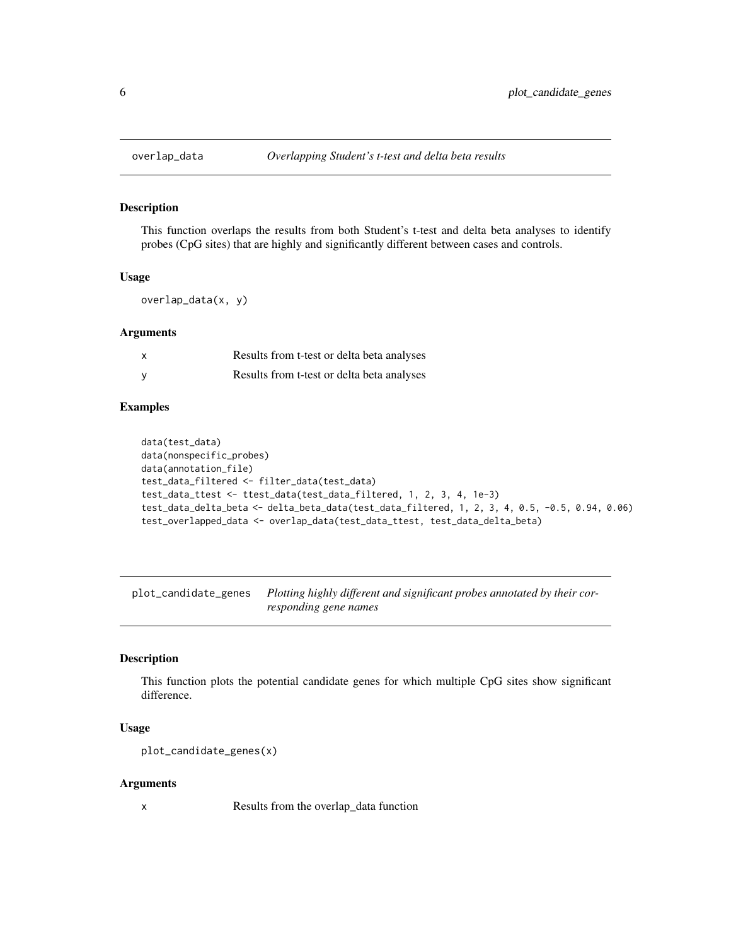This function overlaps the results from both Student's t-test and delta beta analyses to identify probes (CpG sites) that are highly and significantly different between cases and controls.

# Usage

overlap\_data(x, y)

# Arguments

| X | Results from t-test or delta beta analyses |
|---|--------------------------------------------|
| У | Results from t-test or delta beta analyses |

# Examples

```
data(test_data)
data(nonspecific_probes)
data(annotation_file)
test_data_filtered <- filter_data(test_data)
test_data_ttest <- ttest_data(test_data_filtered, 1, 2, 3, 4, 1e-3)
test_data_delta_beta <- delta_beta_data(test_data_filtered, 1, 2, 3, 4, 0.5, -0.5, 0.94, 0.06)
test_overlapped_data <- overlap_data(test_data_ttest, test_data_delta_beta)
```
plot\_candidate\_genes *Plotting highly different and significant probes annotated by their corresponding gene names*

# Description

This function plots the potential candidate genes for which multiple CpG sites show significant difference.

#### Usage

```
plot_candidate_genes(x)
```
# Arguments

x Results from the overlap\_data function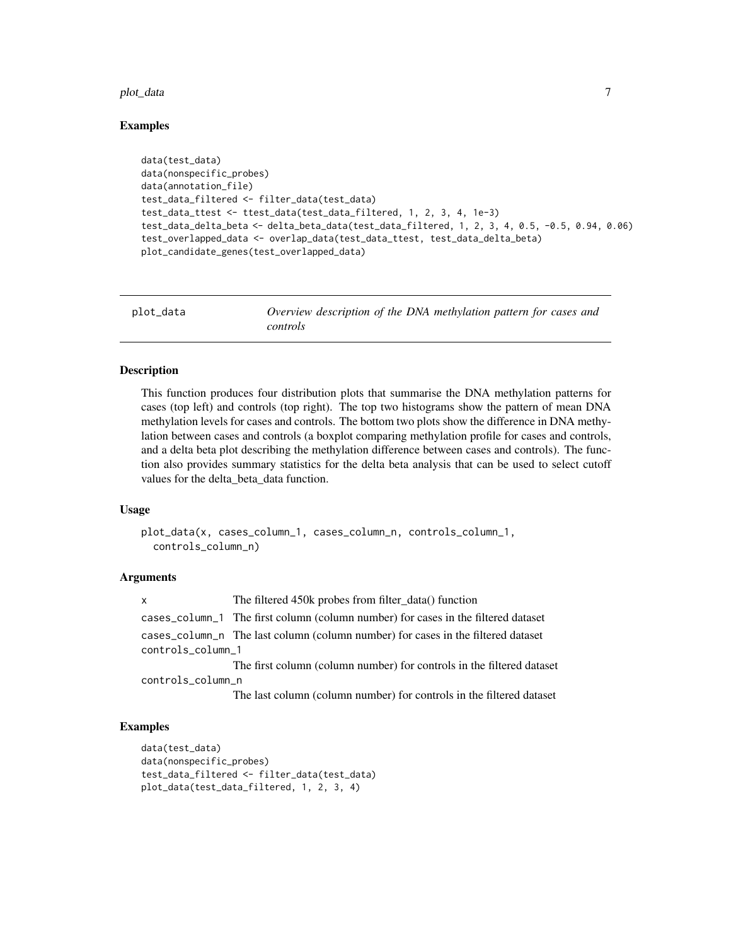#### <span id="page-6-0"></span>plot\_data 7

# Examples

```
data(test_data)
data(nonspecific_probes)
data(annotation_file)
test_data_filtered <- filter_data(test_data)
test_data_ttest <- ttest_data(test_data_filtered, 1, 2, 3, 4, 1e-3)
test_data_delta_beta <- delta_beta_data(test_data_filtered, 1, 2, 3, 4, 0.5, -0.5, 0.94, 0.06)
test_overlapped_data <- overlap_data(test_data_ttest, test_data_delta_beta)
plot_candidate_genes(test_overlapped_data)
```

| plot_data | Overview description of the DNA methylation pattern for cases and |
|-----------|-------------------------------------------------------------------|
|           | <i>controls</i>                                                   |

## Description

This function produces four distribution plots that summarise the DNA methylation patterns for cases (top left) and controls (top right). The top two histograms show the pattern of mean DNA methylation levels for cases and controls. The bottom two plots show the difference in DNA methylation between cases and controls (a boxplot comparing methylation profile for cases and controls, and a delta beta plot describing the methylation difference between cases and controls). The function also provides summary statistics for the delta beta analysis that can be used to select cutoff values for the delta\_beta\_data function.

#### Usage

```
plot_data(x, cases_column_1, cases_column_n, controls_column_1,
  controls_column_n)
```
# Arguments

x The filtered 450k probes from filter\_data() function cases\_column\_1 The first column (column number) for cases in the filtered dataset cases\_column\_n The last column (column number) for cases in the filtered dataset controls\_column\_1 The first column (column number) for controls in the filtered dataset controls\_column\_n

The last column (column number) for controls in the filtered dataset

```
data(test_data)
data(nonspecific_probes)
test_data_filtered <- filter_data(test_data)
plot_data(test_data_filtered, 1, 2, 3, 4)
```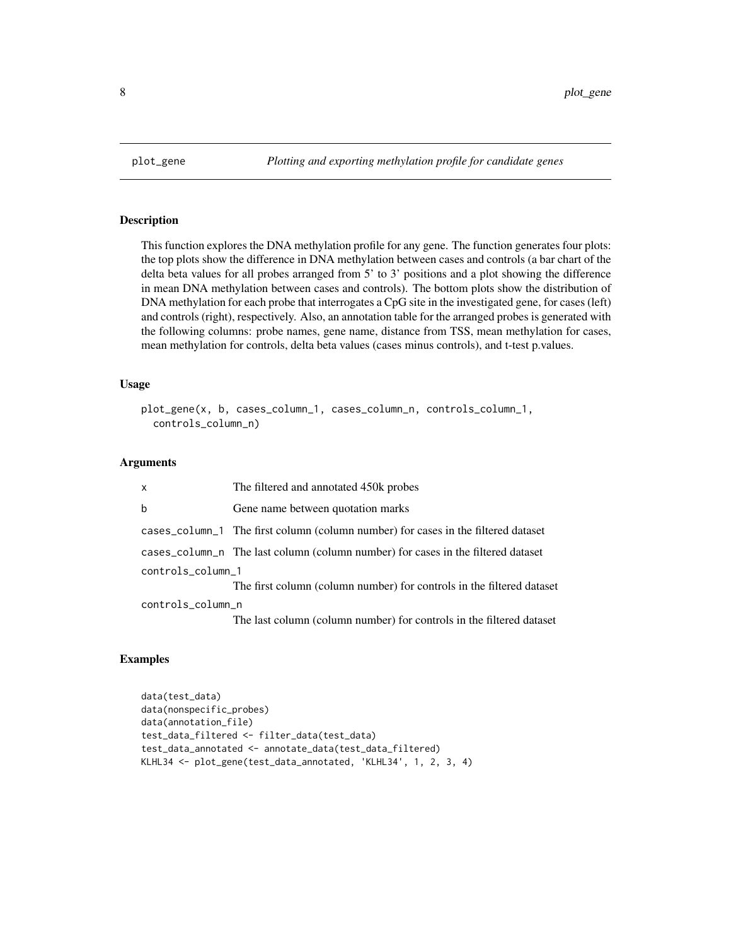<span id="page-7-0"></span>

This function explores the DNA methylation profile for any gene. The function generates four plots: the top plots show the difference in DNA methylation between cases and controls (a bar chart of the delta beta values for all probes arranged from 5' to 3' positions and a plot showing the difference in mean DNA methylation between cases and controls). The bottom plots show the distribution of DNA methylation for each probe that interrogates a CpG site in the investigated gene, for cases (left) and controls (right), respectively. Also, an annotation table for the arranged probes is generated with the following columns: probe names, gene name, distance from TSS, mean methylation for cases, mean methylation for controls, delta beta values (cases minus controls), and t-test p.values.

#### Usage

```
plot_gene(x, b, cases_column_1, cases_column_n, controls_column_1,
  controls_column_n)
```
# Arguments

| x                 | The filtered and annotated 450k probes                                            |
|-------------------|-----------------------------------------------------------------------------------|
| b                 | Gene name between quotation marks                                                 |
|                   | cases_column_1 The first column (column number) for cases in the filtered dataset |
|                   | cases_column_n The last column (column number) for cases in the filtered dataset  |
| controls_column_1 |                                                                                   |
|                   | The first column (column number) for controls in the filtered dataset             |
| controls_column_n |                                                                                   |
|                   | The last column (column number) for controls in the filtered dataset              |
|                   |                                                                                   |

```
data(test_data)
data(nonspecific_probes)
data(annotation_file)
test_data_filtered <- filter_data(test_data)
test_data_annotated <- annotate_data(test_data_filtered)
KLHL34 <- plot_gene(test_data_annotated, 'KLHL34', 1, 2, 3, 4)
```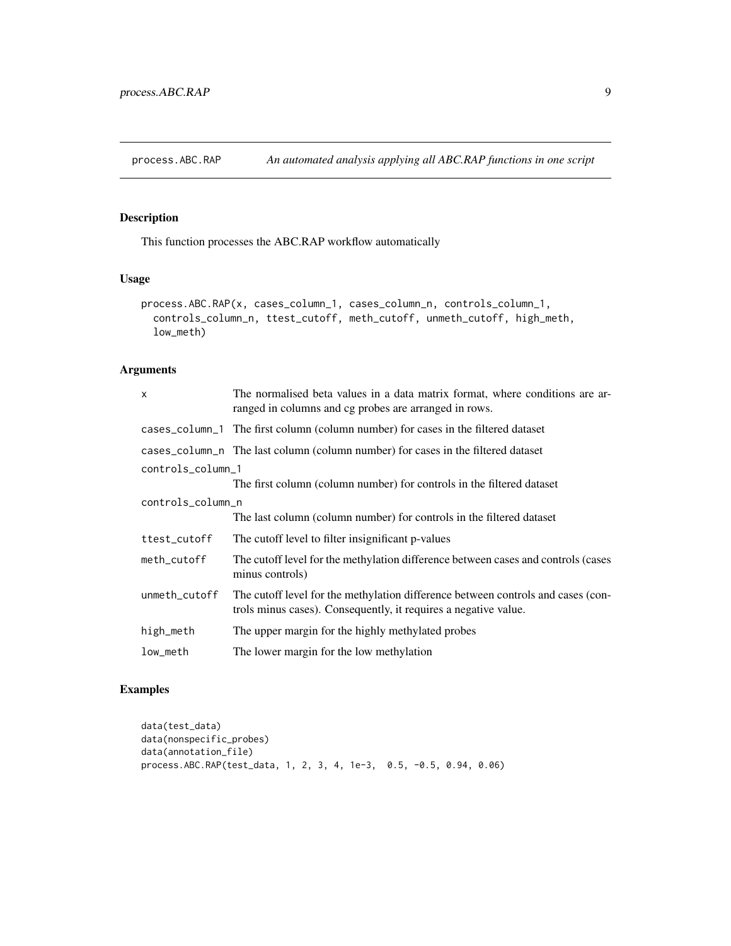<span id="page-8-0"></span>

This function processes the ABC.RAP workflow automatically

# Usage

```
process.ABC.RAP(x, cases_column_1, cases_column_n, controls_column_1,
 controls_column_n, ttest_cutoff, meth_cutoff, unmeth_cutoff, high_meth,
 low_meth)
```
# Arguments

| x                 | The normalised beta values in a data matrix format, where conditions are ar-<br>ranged in columns and cg probes are arranged in rows.               |  |  |  |  |
|-------------------|-----------------------------------------------------------------------------------------------------------------------------------------------------|--|--|--|--|
|                   | cases_column_1 The first column (column number) for cases in the filtered dataset                                                                   |  |  |  |  |
|                   | cases_column_n The last column (column number) for cases in the filtered dataset                                                                    |  |  |  |  |
| controls_column_1 |                                                                                                                                                     |  |  |  |  |
|                   | The first column (column number) for controls in the filtered dataset                                                                               |  |  |  |  |
| controls_column_n |                                                                                                                                                     |  |  |  |  |
|                   | The last column (column number) for controls in the filtered dataset                                                                                |  |  |  |  |
| ttest_cutoff      | The cutoff level to filter insignificant p-values                                                                                                   |  |  |  |  |
| meth_cutoff       | The cutoff level for the methylation difference between cases and controls (cases)<br>minus controls)                                               |  |  |  |  |
| unmeth_cutoff     | The cutoff level for the methylation difference between controls and cases (con-<br>trols minus cases). Consequently, it requires a negative value. |  |  |  |  |
| high_meth         | The upper margin for the highly methylated probes                                                                                                   |  |  |  |  |
| low_meth          | The lower margin for the low methylation                                                                                                            |  |  |  |  |

```
data(test_data)
data(nonspecific_probes)
data(annotation_file)
process.ABC.RAP(test_data, 1, 2, 3, 4, 1e-3, 0.5, -0.5, 0.94, 0.06)
```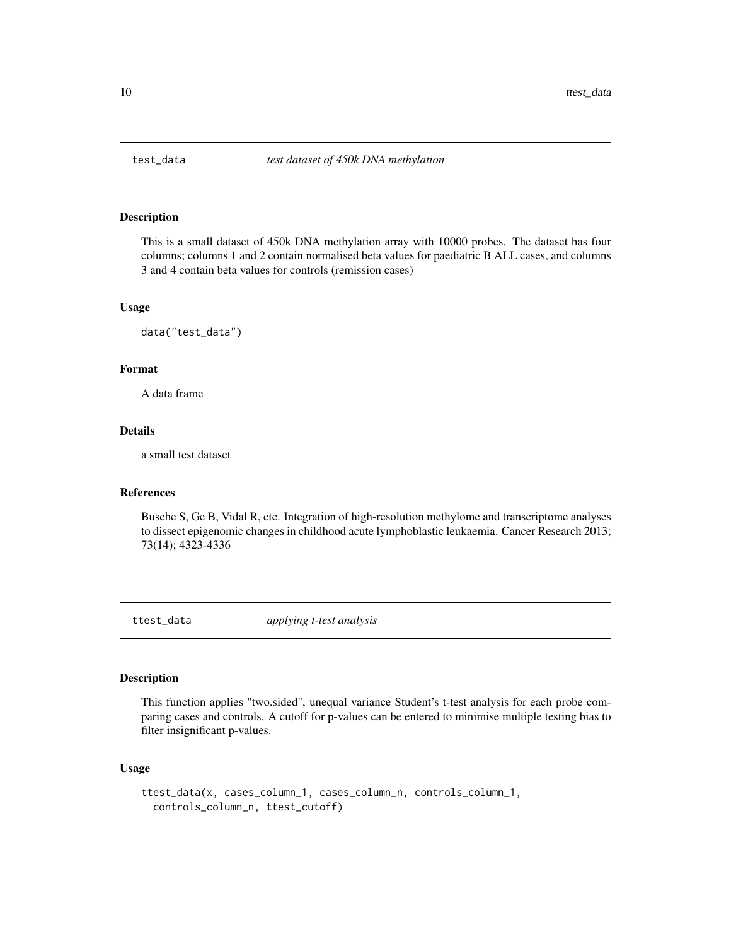<span id="page-9-0"></span>

This is a small dataset of 450k DNA methylation array with 10000 probes. The dataset has four columns; columns 1 and 2 contain normalised beta values for paediatric B ALL cases, and columns 3 and 4 contain beta values for controls (remission cases)

# Usage

data("test\_data")

# Format

A data frame

# Details

a small test dataset

# References

Busche S, Ge B, Vidal R, etc. Integration of high-resolution methylome and transcriptome analyses to dissect epigenomic changes in childhood acute lymphoblastic leukaemia. Cancer Research 2013; 73(14); 4323-4336

ttest\_data *applying t-test analysis*

# Description

This function applies "two.sided", unequal variance Student's t-test analysis for each probe comparing cases and controls. A cutoff for p-values can be entered to minimise multiple testing bias to filter insignificant p-values.

# Usage

```
ttest_data(x, cases_column_1, cases_column_n, controls_column_1,
  controls_column_n, ttest_cutoff)
```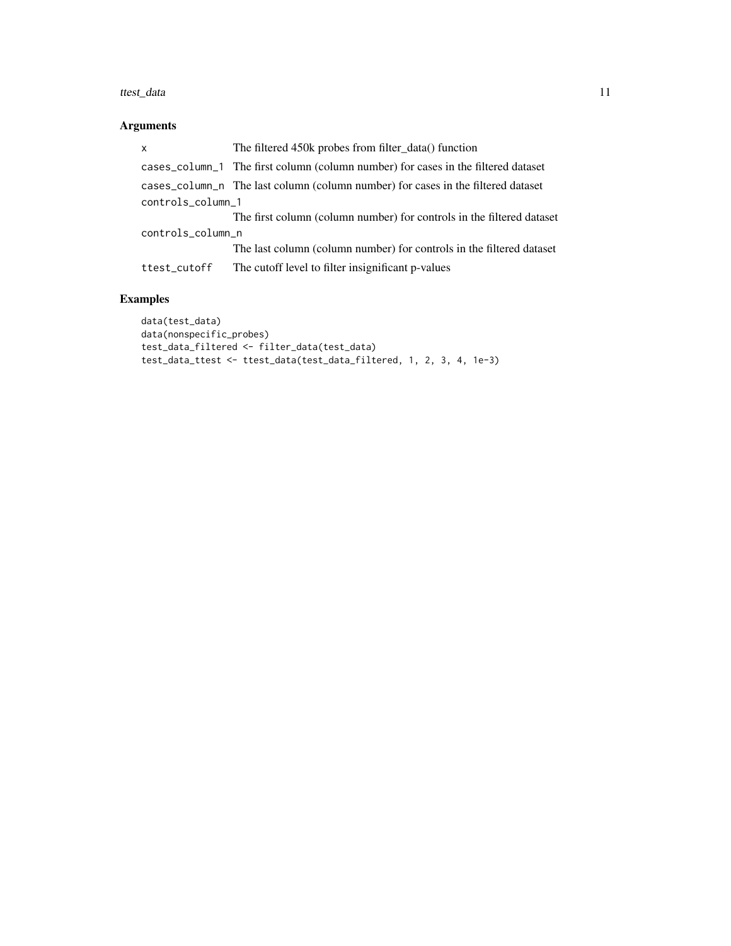#### ttest\_data 11

# Arguments

| $\mathsf{x}$      | The filtered 450k probes from filter data() function                              |  |  |  |  |
|-------------------|-----------------------------------------------------------------------------------|--|--|--|--|
|                   | cases_column_1 The first column (column number) for cases in the filtered dataset |  |  |  |  |
|                   | cases_column_n The last column (column number) for cases in the filtered dataset  |  |  |  |  |
| controls_column_1 |                                                                                   |  |  |  |  |
|                   | The first column (column number) for controls in the filtered dataset             |  |  |  |  |
| controls_column_n |                                                                                   |  |  |  |  |
|                   | The last column (column number) for controls in the filtered dataset              |  |  |  |  |
| ttest_cutoff      | The cutoff level to filter insignificant p-values                                 |  |  |  |  |

```
data(test_data)
data(nonspecific_probes)
test_data_filtered <- filter_data(test_data)
test_data_ttest <- ttest_data(test_data_filtered, 1, 2, 3, 4, 1e-3)
```